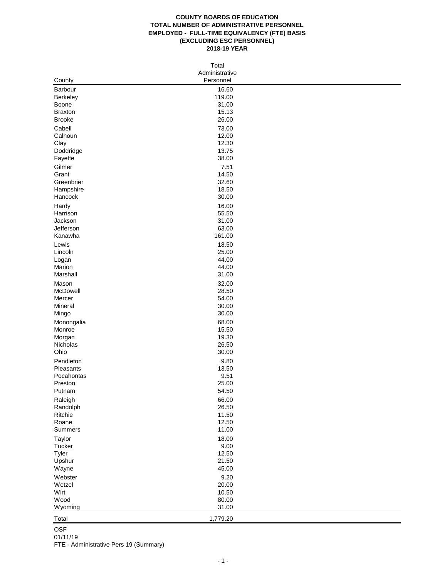#### **COUNTY BOARDS OF EDUCATION TOTAL NUMBER OF ADMINISTRATIVE PERSONNEL EMPLOYED - FULL-TIME EQUIVALENCY (FTE) BASIS (EXCLUDING ESC PERSONNEL) 2018-19 YEAR**

| Total            |                             |  |  |  |  |
|------------------|-----------------------------|--|--|--|--|
| County           | Administrative<br>Personnel |  |  |  |  |
| Barbour          | 16.60                       |  |  |  |  |
| Berkeley         | 119.00                      |  |  |  |  |
| Boone            | 31.00                       |  |  |  |  |
| <b>Braxton</b>   | 15.13                       |  |  |  |  |
| <b>Brooke</b>    | 26.00                       |  |  |  |  |
| Cabell           | 73.00                       |  |  |  |  |
| Calhoun          | 12.00                       |  |  |  |  |
| Clay             | 12.30                       |  |  |  |  |
| Doddridge        | 13.75                       |  |  |  |  |
| Fayette          | 38.00                       |  |  |  |  |
| Gilmer           | 7.51                        |  |  |  |  |
| Grant            | 14.50                       |  |  |  |  |
| Greenbrier       | 32.60                       |  |  |  |  |
| Hampshire        | 18.50                       |  |  |  |  |
| Hancock          | 30.00                       |  |  |  |  |
| Hardy            | 16.00                       |  |  |  |  |
| Harrison         | 55.50                       |  |  |  |  |
| Jackson          | 31.00                       |  |  |  |  |
| Jefferson        | 63.00                       |  |  |  |  |
| Kanawha          | 161.00                      |  |  |  |  |
| Lewis            | 18.50                       |  |  |  |  |
| Lincoln          | 25.00                       |  |  |  |  |
| Logan            | 44.00                       |  |  |  |  |
| Marion           | 44.00                       |  |  |  |  |
| Marshall         | 31.00                       |  |  |  |  |
| Mason            | 32.00                       |  |  |  |  |
| McDowell         | 28.50                       |  |  |  |  |
| Mercer           | 54.00                       |  |  |  |  |
| Mineral          | 30.00                       |  |  |  |  |
| Mingo            | 30.00                       |  |  |  |  |
|                  |                             |  |  |  |  |
| Monongalia       | 68.00<br>15.50              |  |  |  |  |
| Monroe<br>Morgan | 19.30                       |  |  |  |  |
| Nicholas         | 26.50                       |  |  |  |  |
| Ohio             | 30.00                       |  |  |  |  |
|                  |                             |  |  |  |  |
| Pendleton        | 9.80                        |  |  |  |  |
| Pleasants        | 13.50                       |  |  |  |  |
| Pocahontas       | 9.51                        |  |  |  |  |
| Preston          | 25.00<br>54.50              |  |  |  |  |
| Putnam           |                             |  |  |  |  |
| Raleigh          | 66.00                       |  |  |  |  |
| Randolph         | 26.50                       |  |  |  |  |
| Ritchie          | 11.50                       |  |  |  |  |
| Roane            | 12.50                       |  |  |  |  |
| Summers          | 11.00                       |  |  |  |  |
| Taylor           | 18.00                       |  |  |  |  |
| Tucker           | 9.00                        |  |  |  |  |
| Tyler            | 12.50                       |  |  |  |  |
| Upshur           | 21.50                       |  |  |  |  |
| Wayne            | 45.00                       |  |  |  |  |
| Webster          | 9.20                        |  |  |  |  |
| Wetzel           | 20.00                       |  |  |  |  |
| Wirt             | 10.50                       |  |  |  |  |
| Wood             | 80.00                       |  |  |  |  |
| Wyoming          | 31.00                       |  |  |  |  |
| Total            | 1,779.20                    |  |  |  |  |

OSF 01/11/19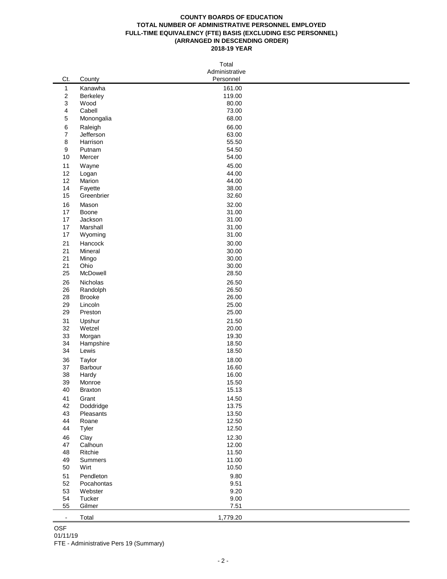#### **COUNTY BOARDS OF EDUCATION TOTAL NUMBER OF ADMINISTRATIVE PERSONNEL EMPLOYED FULL-TIME EQUIVALENCY (FTE) BASIS (EXCLUDING ESC PERSONNEL) (ARRANGED IN DESCENDING ORDER) 2018-19 YEAR**

|                  | Total              |                             |  |  |  |  |
|------------------|--------------------|-----------------------------|--|--|--|--|
| Ct.              | County             | Administrative<br>Personnel |  |  |  |  |
| $\mathbf{1}$     | Kanawha            | 161.00                      |  |  |  |  |
| $\boldsymbol{2}$ | Berkeley           | 119.00                      |  |  |  |  |
| 3                | Wood               | 80.00                       |  |  |  |  |
| 4                | Cabell             | 73.00                       |  |  |  |  |
| 5                | Monongalia         | 68.00                       |  |  |  |  |
| 6                | Raleigh            | 66.00                       |  |  |  |  |
| $\boldsymbol{7}$ | Jefferson          | 63.00                       |  |  |  |  |
| 8                | Harrison           | 55.50                       |  |  |  |  |
| 9                | Putnam             | 54.50                       |  |  |  |  |
| 10               | Mercer             | 54.00                       |  |  |  |  |
| 11               | Wayne              | 45.00                       |  |  |  |  |
| 12               | Logan              | 44.00                       |  |  |  |  |
| 12<br>14         | Marion<br>Fayette  | 44.00<br>38.00              |  |  |  |  |
| 15               | Greenbrier         | 32.60                       |  |  |  |  |
| 16               | Mason              | 32.00                       |  |  |  |  |
| 17               | Boone              | 31.00                       |  |  |  |  |
| 17               | Jackson            | 31.00                       |  |  |  |  |
| 17               | Marshall           | 31.00                       |  |  |  |  |
| 17               | Wyoming            | 31.00                       |  |  |  |  |
| 21               | Hancock            | 30.00                       |  |  |  |  |
| 21               | Mineral            | 30.00                       |  |  |  |  |
| 21               | Mingo              | 30.00                       |  |  |  |  |
| 21               | Ohio               | 30.00                       |  |  |  |  |
| 25               | McDowell           | 28.50                       |  |  |  |  |
| 26               | Nicholas           | 26.50                       |  |  |  |  |
| 26               | Randolph           | 26.50                       |  |  |  |  |
| 28               | <b>Brooke</b>      | 26.00                       |  |  |  |  |
| 29<br>29         | Lincoln<br>Preston | 25.00<br>25.00              |  |  |  |  |
| 31               | Upshur             | 21.50                       |  |  |  |  |
| 32               | Wetzel             | 20.00                       |  |  |  |  |
| 33               | Morgan             | 19.30                       |  |  |  |  |
| 34               | Hampshire          | 18.50                       |  |  |  |  |
| 34               | Lewis              | 18.50                       |  |  |  |  |
| 36               | Taylor             | 18.00                       |  |  |  |  |
| 37               | Barbour            | 16.60                       |  |  |  |  |
| 38               | Hardy              | 16.00                       |  |  |  |  |
| 39               | Monroe             | 15.50                       |  |  |  |  |
| 40               | <b>Braxton</b>     | 15.13                       |  |  |  |  |
| 41               | Grant              | 14.50                       |  |  |  |  |
| 42               | Doddridge          | 13.75                       |  |  |  |  |
| 43<br>44         | Pleasants<br>Roane | 13.50<br>12.50              |  |  |  |  |
| 44               | Tyler              | 12.50                       |  |  |  |  |
| 46               |                    | 12.30                       |  |  |  |  |
| 47               | Clay<br>Calhoun    | 12.00                       |  |  |  |  |
| 48               | Ritchie            | 11.50                       |  |  |  |  |
| 49               | Summers            | 11.00                       |  |  |  |  |
| 50               | Wirt               | 10.50                       |  |  |  |  |
| 51               | Pendleton          | 9.80                        |  |  |  |  |
| 52               | Pocahontas         | 9.51                        |  |  |  |  |
| 53               | Webster            | 9.20                        |  |  |  |  |
| 54               | Tucker             | 9.00                        |  |  |  |  |
| 55               | Gilmer             | 7.51                        |  |  |  |  |
| $\blacksquare$   | Total              | 1,779.20                    |  |  |  |  |

OSF

# 01/11/19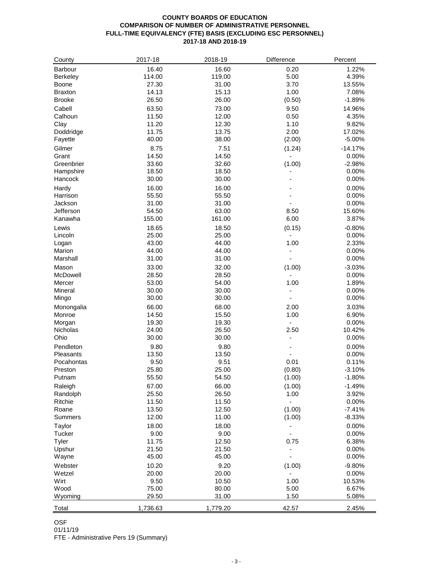## **COUNTY BOARDS OF EDUCATION COMPARISON OF NUMBER OF ADMINISTRATIVE PERSONNEL FULL-TIME EQUIVALENCY (FTE) BASIS (EXCLUDING ESC PERSONNEL) 2017-18 AND 2018-19**

| County         | 2017-18  | 2018-19  | Difference     | Percent   |
|----------------|----------|----------|----------------|-----------|
| Barbour        | 16.40    | 16.60    | 0.20           | 1.22%     |
| Berkeley       | 114.00   | 119.00   | 5.00           | 4.39%     |
| <b>Boone</b>   | 27.30    | 31.00    | 3.70           | 13.55%    |
| <b>Braxton</b> | 14.13    | 15.13    | 1.00           | 7.08%     |
| <b>Brooke</b>  | 26.50    | 26.00    | (0.50)         | $-1.89%$  |
| Cabell         | 63.50    |          |                |           |
|                |          | 73.00    | 9.50           | 14.96%    |
| Calhoun        | 11.50    | 12.00    | 0.50           | 4.35%     |
| Clay           | 11.20    | 12.30    | 1.10           | 9.82%     |
| Doddridge      | 11.75    | 13.75    | 2.00           | 17.02%    |
| Fayette        | 40.00    | 38.00    | (2.00)         | $-5.00%$  |
| Gilmer         | 8.75     | 7.51     | (1.24)         | $-14.17%$ |
| Grant          | 14.50    | 14.50    |                | 0.00%     |
| Greenbrier     | 33.60    | 32.60    | (1.00)         | $-2.98%$  |
| Hampshire      | 18.50    | 18.50    |                | 0.00%     |
| Hancock        | 30.00    | 30.00    |                | 0.00%     |
| Hardy          | 16.00    | 16.00    |                | 0.00%     |
| Harrison       | 55.50    | 55.50    |                | 0.00%     |
| Jackson        | 31.00    | 31.00    |                | 0.00%     |
| Jefferson      | 54.50    | 63.00    | 8.50           | 15.60%    |
| Kanawha        | 155.00   | 161.00   | 6.00           | 3.87%     |
| Lewis          | 18.65    | 18.50    | (0.15)         | $-0.80%$  |
| Lincoln        | 25.00    | 25.00    |                | 0.00%     |
| Logan          | 43.00    | 44.00    | 1.00           | 2.33%     |
| Marion         | 44.00    | 44.00    | $\frac{1}{2}$  | 0.00%     |
| Marshall       | 31.00    | 31.00    |                | 0.00%     |
| Mason          | 33.00    | 32.00    | (1.00)         | $-3.03%$  |
| McDowell       | 28.50    | 28.50    |                | 0.00%     |
| Mercer         | 53.00    | 54.00    | 1.00           | 1.89%     |
| Mineral        | 30.00    | 30.00    |                | 0.00%     |
| Mingo          | 30.00    | 30.00    |                | 0.00%     |
|                |          |          |                |           |
| Monongalia     | 66.00    | 68.00    | 2.00           | 3.03%     |
| Monroe         | 14.50    | 15.50    | 1.00           | 6.90%     |
| Morgan         | 19.30    | 19.30    | $\blacksquare$ | 0.00%     |
| Nicholas       | 24.00    | 26.50    | 2.50           | 10.42%    |
| Ohio           | 30.00    | 30.00    | $\overline{a}$ | 0.00%     |
| Pendleton      | 9.80     | 9.80     |                | 0.00%     |
| Pleasants      | 13.50    | 13.50    | $\blacksquare$ | 0.00%     |
| Pocahontas     | 9.50     | 9.51     | 0.01           | 0.11%     |
| Preston        | 25.80    | 25.00    | (0.80)         | $-3.10%$  |
| Putnam         | 55.50    | 54.50    | (1.00)         | $-1.80%$  |
| Raleigh        | 67.00    | 66.00    | (1.00)         | $-1.49%$  |
| Randolph       | 25.50    | 26.50    | 1.00           | 3.92%     |
| Ritchie        | 11.50    | 11.50    |                | 0.00%     |
| Roane          | 13.50    | 12.50    | (1.00)         | $-7.41%$  |
| Summers        | 12.00    | 11.00    | (1.00)         | $-8.33%$  |
| Taylor         | 18.00    | 18.00    |                | 0.00%     |
| Tucker         | 9.00     | 9.00     |                | 0.00%     |
| Tyler          | 11.75    | 12.50    | 0.75           | 6.38%     |
| Upshur         | 21.50    | 21.50    |                | 0.00%     |
| Wayne          | 45.00    | 45.00    |                | 0.00%     |
| Webster        | 10.20    | 9.20     | (1.00)         | $-9.80%$  |
| Wetzel         | 20.00    | 20.00    |                | 0.00%     |
| Wirt           | 9.50     | 10.50    | 1.00           | 10.53%    |
| Wood           | 75.00    | 80.00    | 5.00           | 6.67%     |
| Wyoming        | 29.50    | 31.00    | 1.50           | 5.08%     |
|                |          |          |                |           |
| Total          | 1,736.63 | 1,779.20 | 42.57          | 2.45%     |

## OSF

01/11/19